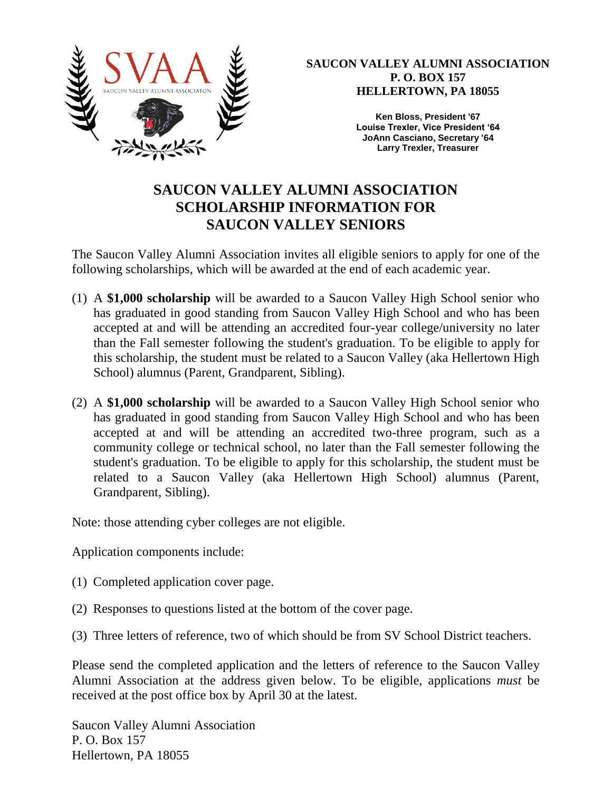

**SAUCON VALLEY ALUMNI ASSOCIATION P. O. BOX 157 HELLERTOWN, PA 18055**

> **Ken Bloss, President '67 Louise Trexler, Vice President '64 JoAnn Casciano, Secretary '64 Larry Trexler, Treasurer**

## **SAUCON VALLEY ALUMNI ASSOCIATION SCHOLARSHIP INFORMATION FOR SAUCON VALLEY SENIORS**

The Saucon Valley Alumni Association invites all eligible seniors to apply for one of the following scholarships, which will be awarded at the end of each academic year.

- (1) A **\$1,000 scholarship** will be awarded to a Saucon Valley High School senior who has graduated in good standing from Saucon Valley High School and who has been accepted at and will be attending an accredited four-year college/university no later than the Fall semester following the student's graduation. To be eligible to apply for this scholarship, the student must be related to a Saucon Valley (aka Hellertown High School) alumnus (Parent, Grandparent, Sibling).
- (2) A **\$1,000 scholarship** will be awarded to a Saucon Valley High School senior who has graduated in good standing from Saucon Valley High School and who has been accepted at and will be attending an accredited two-three program, such as a community college or technical school, no later than the Fall semester following the student's graduation. To be eligible to apply for this scholarship, the student must be related to a Saucon Valley (aka Hellertown High School) alumnus (Parent, Grandparent, Sibling).

Note: those attending cyber colleges are not eligible.

Application components include:

- (1) Completed application cover page.
- (2) Responses to questions listed at the bottom of the cover page.
- (3) Three letters of reference, two of which should be from SV School District teachers.

Please send the completed application and the letters of reference to the Saucon Valley Alumni Association at the address given below. To be eligible, applications *must* be received at the post office box by April 30 at the latest.

Saucon Valley Alumni Association P. O. Box 157 Hellertown, PA 18055